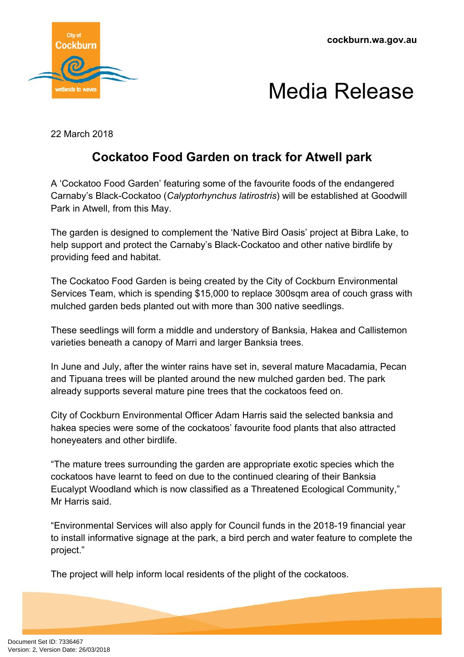

## Media Release

22 March 2018

### **Cockatoo Food Garden on track for Atwell park**

A 'Cockatoo Food Garden' featuring some of the favourite foods of the endangered Carnaby's Black-Cockatoo (*Calyptorhynchus latirostris*) will be established at Goodwill Park in Atwell, from this May.

The garden is designed to complement the 'Native Bird Oasis' project at Bibra Lake, to help support and protect the Carnaby's Black-Cockatoo and other native birdlife by providing feed and habitat.

The Cockatoo Food Garden is being created by the City of Cockburn Environmental Services Team, which is spending \$15,000 to replace 300sqm area of couch grass with mulched garden beds planted out with more than 300 native seedlings.

These seedlings will form a middle and understory of Banksia, Hakea and Callistemon varieties beneath a canopy of Marri and larger Banksia trees.

In June and July, after the winter rains have set in, several mature Macadamia, Pecan and Tipuana trees will be planted around the new mulched garden bed. The park already supports several mature pine trees that the cockatoos feed on.

City of Cockburn Environmental Officer Adam Harris said the selected banksia and hakea species were some of the cockatoos' favourite food plants that also attracted honeyeaters and other birdlife.

"The mature trees surrounding the garden are appropriate exotic species which the cockatoos have learnt to feed on due to the continued clearing of their Banksia Eucalypt Woodland which is now classified as a Threatened Ecological Community," Mr Harris said.

"Environmental Services will also apply for Council funds in the 2018-19 financial year to install informative signage at the park, a bird perch and water feature to complete the project."

The project will help inform local residents of the plight of the cockatoos.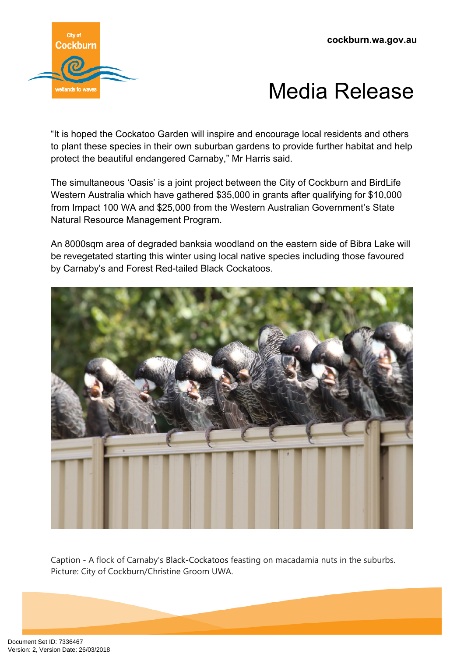

### Media Release

"It is hoped the Cockatoo Garden will inspire and encourage local residents and others to plant these species in their own suburban gardens to provide further habitat and help protect the beautiful endangered Carnaby," Mr Harris said.

The simultaneous 'Oasis' is a joint project between the City of Cockburn and BirdLife Western Australia which have gathered \$35,000 in grants after qualifying for \$10,000 from Impact 100 WA and \$25,000 from the Western Australian Government's State Natural Resource Management Program.

An 8000sqm area of degraded banksia woodland on the eastern side of Bibra Lake will be revegetated starting this winter using local native species including those favoured by Carnaby's and Forest Red-tailed Black Cockatoos.



Caption - A flock of Carnaby's Black-Cockatoos feasting on macadamia nuts in the suburbs. Picture: City of Cockburn/Christine Groom UWA.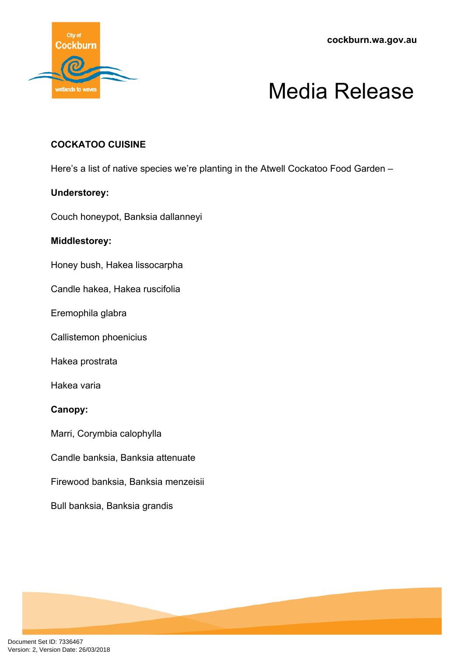**cockburn.wa.gov.au**



# Media Release

### **COCKATOO CUISINE**

Here's a list of native species we're planting in the Atwell Cockatoo Food Garden –

#### **Understorey:**

Couch honeypot, Banksia dallanneyi

#### **Middlestorey:**

Honey bush, Hakea lissocarpha

Candle hakea, Hakea ruscifolia

Eremophila glabra

Callistemon phoenicius

Hakea prostrata

Hakea varia

### **Canopy:**

Marri, Corymbia calophylla

Candle banksia, Banksia attenuate

Firewood banksia, Banksia menzeisii

Bull banksia, Banksia grandis